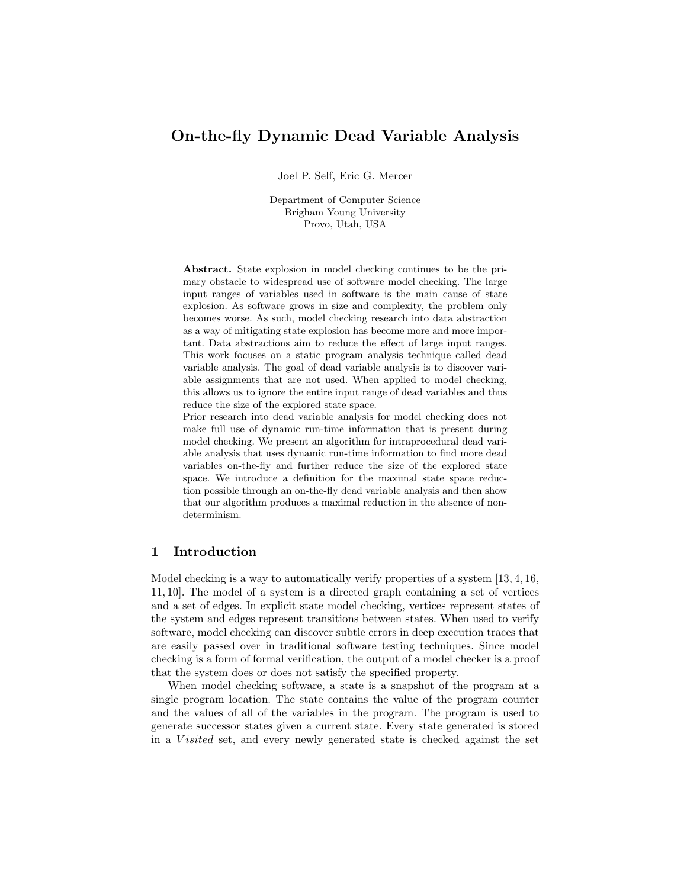# On-the-fly Dynamic Dead Variable Analysis

Joel P. Self, Eric G. Mercer

Department of Computer Science Brigham Young University Provo, Utah, USA

Abstract. State explosion in model checking continues to be the primary obstacle to widespread use of software model checking. The large input ranges of variables used in software is the main cause of state explosion. As software grows in size and complexity, the problem only becomes worse. As such, model checking research into data abstraction as a way of mitigating state explosion has become more and more important. Data abstractions aim to reduce the effect of large input ranges. This work focuses on a static program analysis technique called dead variable analysis. The goal of dead variable analysis is to discover variable assignments that are not used. When applied to model checking, this allows us to ignore the entire input range of dead variables and thus reduce the size of the explored state space.

Prior research into dead variable analysis for model checking does not make full use of dynamic run-time information that is present during model checking. We present an algorithm for intraprocedural dead variable analysis that uses dynamic run-time information to find more dead variables on-the-fly and further reduce the size of the explored state space. We introduce a definition for the maximal state space reduction possible through an on-the-fly dead variable analysis and then show that our algorithm produces a maximal reduction in the absence of nondeterminism.

# 1 Introduction

Model checking is a way to automatically verify properties of a system [13, 4, 16, 11, 10]. The model of a system is a directed graph containing a set of vertices and a set of edges. In explicit state model checking, vertices represent states of the system and edges represent transitions between states. When used to verify software, model checking can discover subtle errors in deep execution traces that are easily passed over in traditional software testing techniques. Since model checking is a form of formal verification, the output of a model checker is a proof that the system does or does not satisfy the specified property.

When model checking software, a state is a snapshot of the program at a single program location. The state contains the value of the program counter and the values of all of the variables in the program. The program is used to generate successor states given a current state. Every state generated is stored in a Visited set, and every newly generated state is checked against the set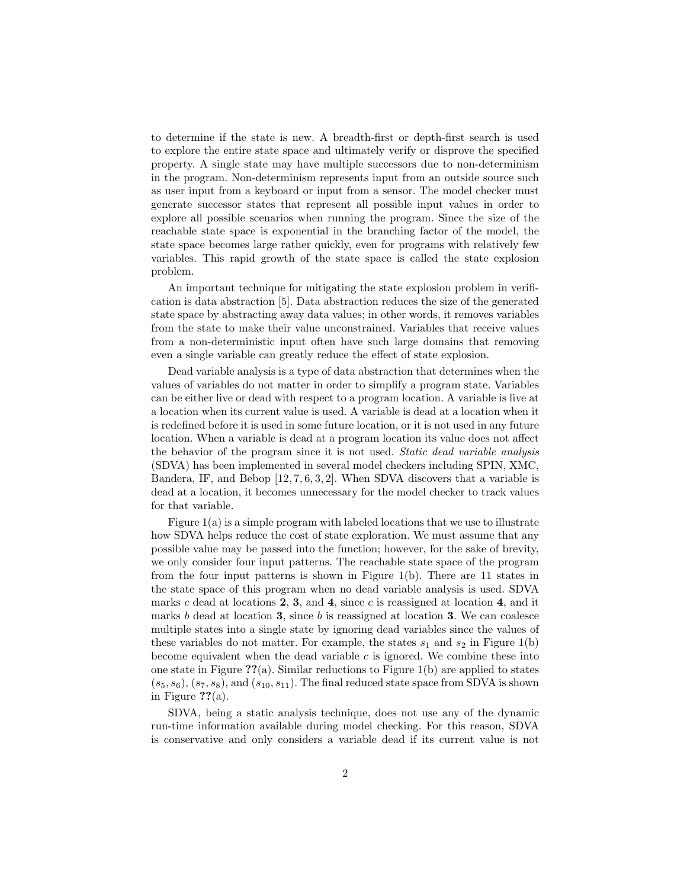to determine if the state is new. A breadth-first or depth-first search is used to explore the entire state space and ultimately verify or disprove the specified property. A single state may have multiple successors due to non-determinism in the program. Non-determinism represents input from an outside source such as user input from a keyboard or input from a sensor. The model checker must generate successor states that represent all possible input values in order to explore all possible scenarios when running the program. Since the size of the reachable state space is exponential in the branching factor of the model, the state space becomes large rather quickly, even for programs with relatively few variables. This rapid growth of the state space is called the state explosion problem.

An important technique for mitigating the state explosion problem in verification is data abstraction [5]. Data abstraction reduces the size of the generated state space by abstracting away data values; in other words, it removes variables from the state to make their value unconstrained. Variables that receive values from a non-deterministic input often have such large domains that removing even a single variable can greatly reduce the effect of state explosion.

Dead variable analysis is a type of data abstraction that determines when the values of variables do not matter in order to simplify a program state. Variables can be either live or dead with respect to a program location. A variable is live at a location when its current value is used. A variable is dead at a location when it is redefined before it is used in some future location, or it is not used in any future location. When a variable is dead at a program location its value does not affect the behavior of the program since it is not used. Static dead variable analysis (SDVA) has been implemented in several model checkers including SPIN, XMC, Bandera, IF, and Bebop [12, 7, 6, 3, 2]. When SDVA discovers that a variable is dead at a location, it becomes unnecessary for the model checker to track values for that variable.

Figure 1(a) is a simple program with labeled locations that we use to illustrate how SDVA helps reduce the cost of state exploration. We must assume that any possible value may be passed into the function; however, for the sake of brevity, we only consider four input patterns. The reachable state space of the program from the four input patterns is shown in Figure 1(b). There are 11 states in the state space of this program when no dead variable analysis is used. SDVA marks c dead at locations 2, 3, and 4, since c is reassigned at location 4, and it marks  $b$  dead at location 3, since  $b$  is reassigned at location 3. We can coalesce multiple states into a single state by ignoring dead variables since the values of these variables do not matter. For example, the states  $s_1$  and  $s_2$  in Figure 1(b) become equivalent when the dead variable  $c$  is ignored. We combine these into one state in Figure  $\mathfrak{P}(a)$ . Similar reductions to Figure 1(b) are applied to states  $(s_5, s_6), (s_7, s_8)$ , and  $(s_{10}, s_{11})$ . The final reduced state space from SDVA is shown in Figure  $?$ ?(a).

SDVA, being a static analysis technique, does not use any of the dynamic run-time information available during model checking. For this reason, SDVA is conservative and only considers a variable dead if its current value is not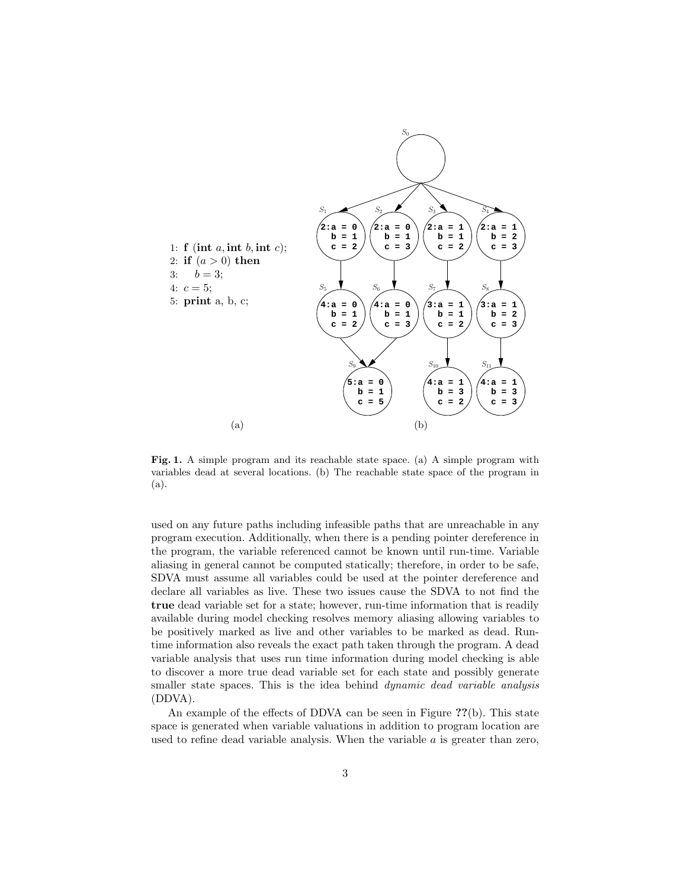

Fig. 1. A simple program and its reachable state space. (a) A simple program with variables dead at several locations. (b) The reachable state space of the program in (a).

used on any future paths including infeasible paths that are unreachable in any program execution. Additionally, when there is a pending pointer dereference in the program, the variable referenced cannot be known until run-time. Variable aliasing in general cannot be computed statically; therefore, in order to be safe, SDVA must assume all variables could be used at the pointer dereference and declare all variables as live. These two issues cause the SDVA to not find the true dead variable set for a state; however, run-time information that is readily available during model checking resolves memory aliasing allowing variables to be positively marked as live and other variables to be marked as dead. Runtime information also reveals the exact path taken through the program. A dead variable analysis that uses run time information during model checking is able to discover a more true dead variable set for each state and possibly generate smaller state spaces. This is the idea behind *dynamic dead variable analysis* (DDVA).

An example of the effects of DDVA can be seen in Figure ??(b). This state space is generated when variable valuations in addition to program location are used to refine dead variable analysis. When the variable  $a$  is greater than zero,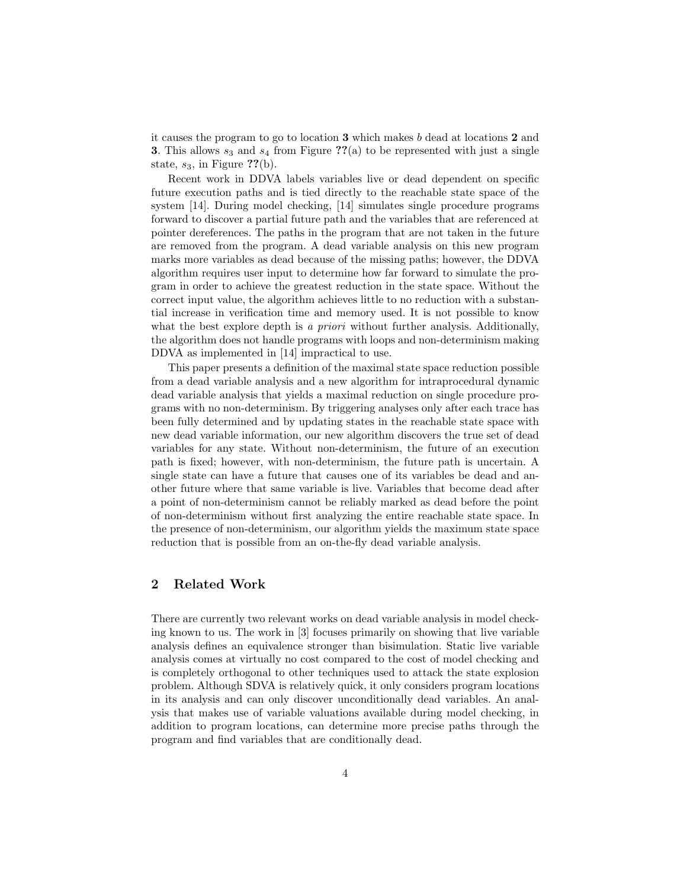it causes the program to go to location 3 which makes b dead at locations 2 and **3.** This allows  $s_3$  and  $s_4$  from Figure ??(a) to be represented with just a single state,  $s_3$ , in Figure ??(b).

Recent work in DDVA labels variables live or dead dependent on specific future execution paths and is tied directly to the reachable state space of the system [14]. During model checking, [14] simulates single procedure programs forward to discover a partial future path and the variables that are referenced at pointer dereferences. The paths in the program that are not taken in the future are removed from the program. A dead variable analysis on this new program marks more variables as dead because of the missing paths; however, the DDVA algorithm requires user input to determine how far forward to simulate the program in order to achieve the greatest reduction in the state space. Without the correct input value, the algorithm achieves little to no reduction with a substantial increase in verification time and memory used. It is not possible to know what the best explore depth is a *priori* without further analysis. Additionally, the algorithm does not handle programs with loops and non-determinism making DDVA as implemented in [14] impractical to use.

This paper presents a definition of the maximal state space reduction possible from a dead variable analysis and a new algorithm for intraprocedural dynamic dead variable analysis that yields a maximal reduction on single procedure programs with no non-determinism. By triggering analyses only after each trace has been fully determined and by updating states in the reachable state space with new dead variable information, our new algorithm discovers the true set of dead variables for any state. Without non-determinism, the future of an execution path is fixed; however, with non-determinism, the future path is uncertain. A single state can have a future that causes one of its variables be dead and another future where that same variable is live. Variables that become dead after a point of non-determinism cannot be reliably marked as dead before the point of non-determinism without first analyzing the entire reachable state space. In the presence of non-determinism, our algorithm yields the maximum state space reduction that is possible from an on-the-fly dead variable analysis.

#### 2 Related Work

There are currently two relevant works on dead variable analysis in model checking known to us. The work in [3] focuses primarily on showing that live variable analysis defines an equivalence stronger than bisimulation. Static live variable analysis comes at virtually no cost compared to the cost of model checking and is completely orthogonal to other techniques used to attack the state explosion problem. Although SDVA is relatively quick, it only considers program locations in its analysis and can only discover unconditionally dead variables. An analysis that makes use of variable valuations available during model checking, in addition to program locations, can determine more precise paths through the program and find variables that are conditionally dead.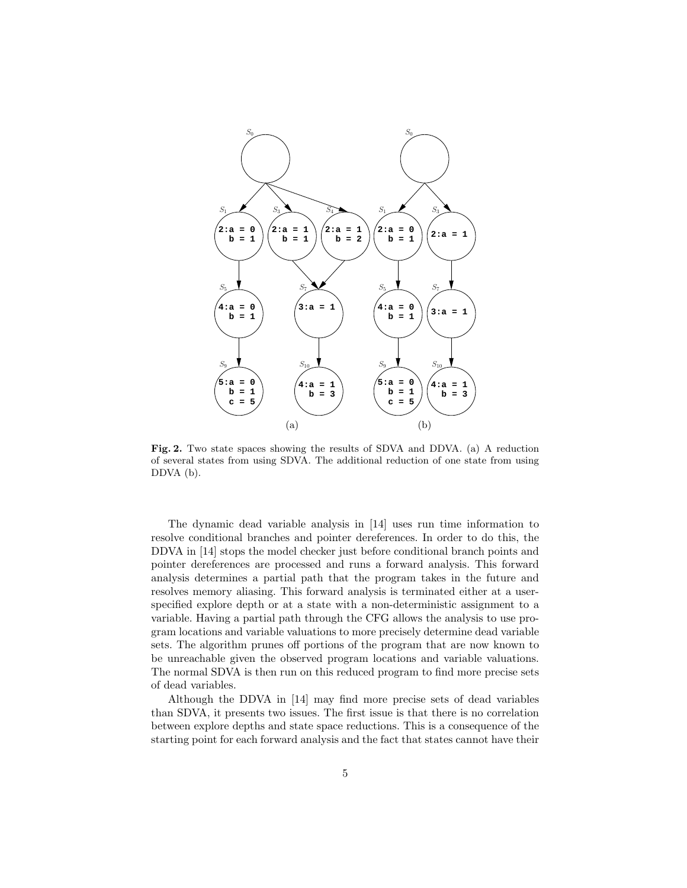

Fig. 2. Two state spaces showing the results of SDVA and DDVA. (a) A reduction of several states from using SDVA. The additional reduction of one state from using DDVA (b).

The dynamic dead variable analysis in [14] uses run time information to resolve conditional branches and pointer dereferences. In order to do this, the DDVA in [14] stops the model checker just before conditional branch points and pointer dereferences are processed and runs a forward analysis. This forward analysis determines a partial path that the program takes in the future and resolves memory aliasing. This forward analysis is terminated either at a userspecified explore depth or at a state with a non-deterministic assignment to a variable. Having a partial path through the CFG allows the analysis to use program locations and variable valuations to more precisely determine dead variable sets. The algorithm prunes off portions of the program that are now known to be unreachable given the observed program locations and variable valuations. The normal SDVA is then run on this reduced program to find more precise sets of dead variables.

Although the DDVA in [14] may find more precise sets of dead variables than SDVA, it presents two issues. The first issue is that there is no correlation between explore depths and state space reductions. This is a consequence of the starting point for each forward analysis and the fact that states cannot have their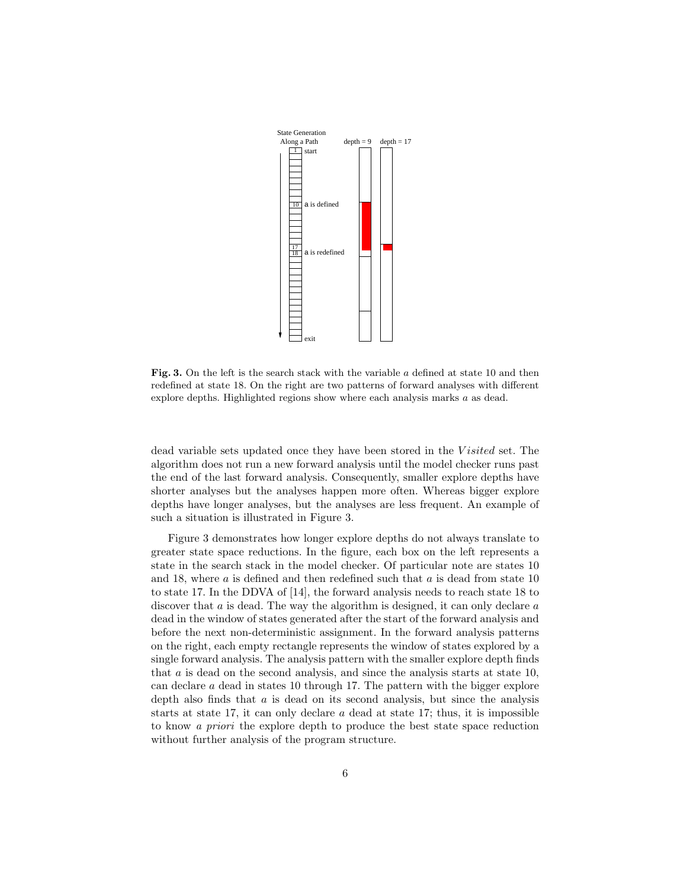

Fig. 3. On the left is the search stack with the variable  $\alpha$  defined at state 10 and then redefined at state 18. On the right are two patterns of forward analyses with different explore depths. Highlighted regions show where each analysis marks a as dead.

dead variable sets updated once they have been stored in the Visited set. The algorithm does not run a new forward analysis until the model checker runs past the end of the last forward analysis. Consequently, smaller explore depths have shorter analyses but the analyses happen more often. Whereas bigger explore depths have longer analyses, but the analyses are less frequent. An example of such a situation is illustrated in Figure 3.

Figure 3 demonstrates how longer explore depths do not always translate to greater state space reductions. In the figure, each box on the left represents a state in the search stack in the model checker. Of particular note are states 10 and 18, where  $a$  is defined and then redefined such that  $a$  is dead from state 10 to state 17. In the DDVA of [14], the forward analysis needs to reach state 18 to discover that  $a$  is dead. The way the algorithm is designed, it can only declare  $a$ dead in the window of states generated after the start of the forward analysis and before the next non-deterministic assignment. In the forward analysis patterns on the right, each empty rectangle represents the window of states explored by a single forward analysis. The analysis pattern with the smaller explore depth finds that a is dead on the second analysis, and since the analysis starts at state 10, can declare a dead in states 10 through 17. The pattern with the bigger explore depth also finds that  $\alpha$  is dead on its second analysis, but since the analysis starts at state 17, it can only declare  $\alpha$  dead at state 17; thus, it is impossible to know a priori the explore depth to produce the best state space reduction without further analysis of the program structure.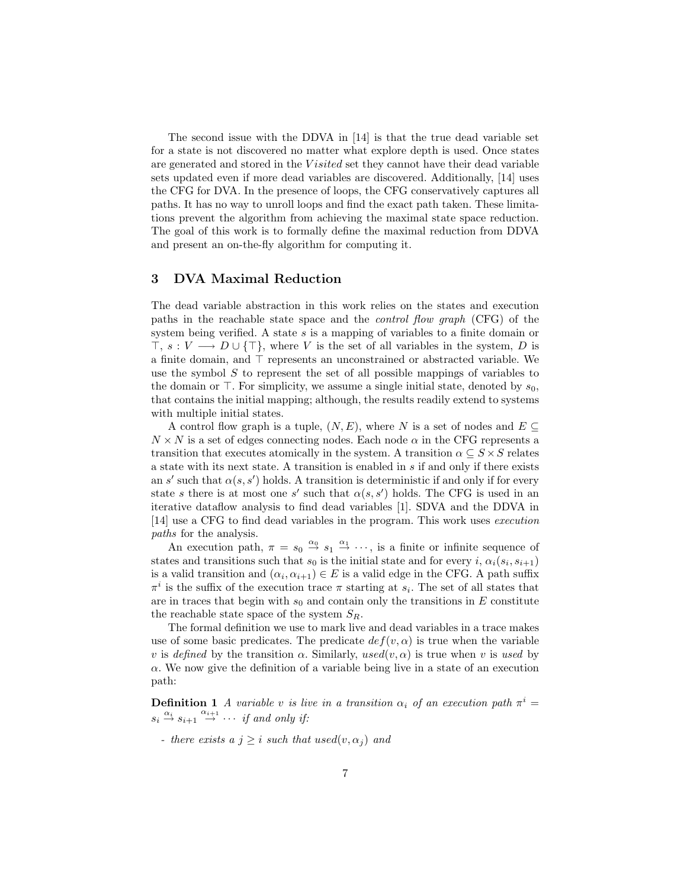The second issue with the DDVA in [14] is that the true dead variable set for a state is not discovered no matter what explore depth is used. Once states are generated and stored in the V isited set they cannot have their dead variable sets updated even if more dead variables are discovered. Additionally, [14] uses the CFG for DVA. In the presence of loops, the CFG conservatively captures all paths. It has no way to unroll loops and find the exact path taken. These limitations prevent the algorithm from achieving the maximal state space reduction. The goal of this work is to formally define the maximal reduction from DDVA and present an on-the-fly algorithm for computing it.

#### 3 DVA Maximal Reduction

The dead variable abstraction in this work relies on the states and execution paths in the reachable state space and the control flow graph (CFG) of the system being verified. A state s is a mapping of variables to a finite domain or  $\top, s: V \longrightarrow D \cup \{\top\},\$  where V is the set of all variables in the system, D is a finite domain, and  $\top$  represents an unconstrained or abstracted variable. We use the symbol  $S$  to represent the set of all possible mappings of variables to the domain or  $\top$ . For simplicity, we assume a single initial state, denoted by  $s_0$ , that contains the initial mapping; although, the results readily extend to systems with multiple initial states.

A control flow graph is a tuple,  $(N, E)$ , where N is a set of nodes and  $E \subseteq$  $N \times N$  is a set of edges connecting nodes. Each node  $\alpha$  in the CFG represents a transition that executes atomically in the system. A transition  $\alpha \subseteq S \times S$  relates a state with its next state. A transition is enabled in s if and only if there exists an s' such that  $\alpha(s, s')$  holds. A transition is deterministic if and only if for every state s there is at most one s' such that  $\alpha(s, s')$  holds. The CFG is used in an iterative dataflow analysis to find dead variables [1]. SDVA and the DDVA in [14] use a CFG to find dead variables in the program. This work uses execution paths for the analysis.

An execution path,  $\pi = s_0 \stackrel{\alpha_0}{\rightarrow} s_1 \stackrel{\alpha_1}{\rightarrow} \cdots$ , is a finite or infinite sequence of states and transitions such that  $s_0$  is the initial state and for every i,  $\alpha_i(s_i, s_{i+1})$ is a valid transition and  $(\alpha_i, \alpha_{i+1}) \in E$  is a valid edge in the CFG. A path suffix  $\pi^i$  is the suffix of the execution trace  $\pi$  starting at  $s_i$ . The set of all states that are in traces that begin with  $s_0$  and contain only the transitions in  $E$  constitute the reachable state space of the system  $S_R$ .

The formal definition we use to mark live and dead variables in a trace makes use of some basic predicates. The predicate  $def(v, \alpha)$  is true when the variable v is defined by the transition  $\alpha$ . Similarly, used $(v, \alpha)$  is true when v is used by  $\alpha$ . We now give the definition of a variable being live in a state of an execution path:

**Definition 1** A variable v is live in a transition  $\alpha_i$  of an execution path  $\pi^i$  =  $s_i \stackrel{\alpha_i}{\rightarrow} s_{i+1} \stackrel{\alpha_{i+1}}{\rightarrow} \cdots$  if and only if:

- there exists a  $j \geq i$  such that used $(v, \alpha_i)$  and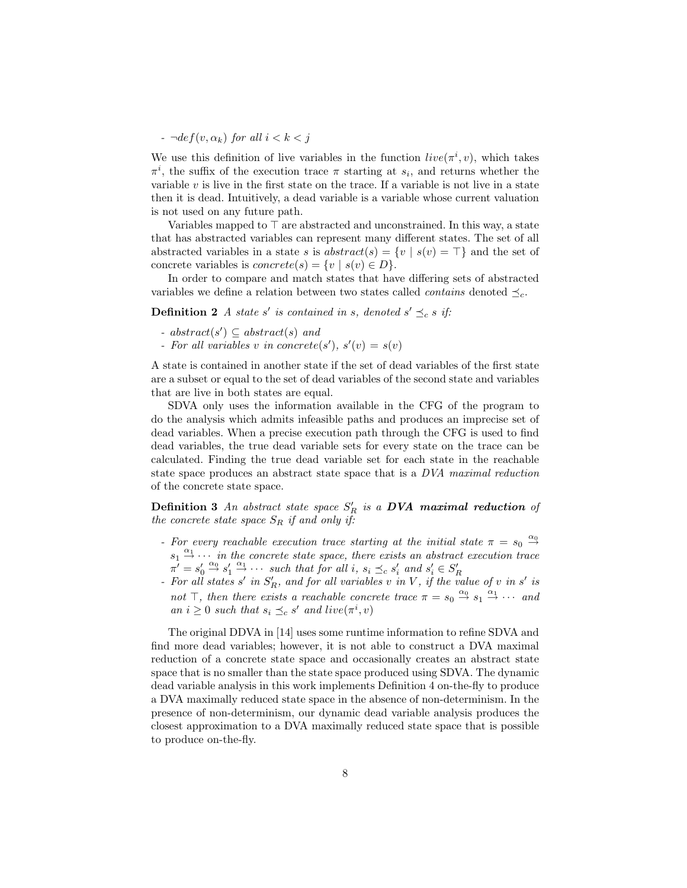-  $\neg def(v, \alpha_k)$  for all  $i < k < j$ 

We use this definition of live variables in the function  $live(\pi^i, v)$ , which takes  $\pi^i$ , the suffix of the execution trace  $\pi$  starting at  $s_i$ , and returns whether the variable  $v$  is live in the first state on the trace. If a variable is not live in a state then it is dead. Intuitively, a dead variable is a variable whose current valuation is not used on any future path.

Variables mapped to  $\top$  are abstracted and unconstrained. In this way, a state that has abstracted variables can represent many different states. The set of all abstracted variables in a state s is  $abstract(s) = \{v \mid s(v) = \top\}$  and the set of concrete variables is  $concrete(s) = \{v \mid s(v) \in D\}.$ 

In order to compare and match states that have differing sets of abstracted variables we define a relation between two states called *contains* denoted  $\preceq_c$ .

**Definition 2** A state s' is contained in s, denoted s'  $\leq_c$  s if:

- $abstract(s') \subseteq abstract(s)$  and
- For all variables v in concrete(s'),  $s'(v) = s(v)$

A state is contained in another state if the set of dead variables of the first state are a subset or equal to the set of dead variables of the second state and variables that are live in both states are equal.

SDVA only uses the information available in the CFG of the program to do the analysis which admits infeasible paths and produces an imprecise set of dead variables. When a precise execution path through the CFG is used to find dead variables, the true dead variable sets for every state on the trace can be calculated. Finding the true dead variable set for each state in the reachable state space produces an abstract state space that is a DVA maximal reduction of the concrete state space.

**Definition 3** An abstract state space  $S'_R$  is a **DVA** maximal reduction of the concrete state space  $S_R$  if and only if:

- For every reachable execution trace starting at the initial state  $\pi = s_0 \stackrel{\alpha_0}{\rightarrow}$  $s_1 \stackrel{\alpha_1}{\rightarrow} \cdots$  in the concrete state space, there exists an abstract execution trace  $\pi' = s'_0 \stackrel{\alpha_0}{\rightarrow} s'_1 \stackrel{\alpha_1}{\rightarrow} \cdots$  such that for all i,  $s_i \preceq_c s'_i$  and  $s'_i \in S'_R$ <br>- For all states s' in  $S'_R$ , and for all variables v in V, if the value of v in s' is
- not  $\top$ , then there exists a reachable concrete trace  $\pi = s_0 \stackrel{\alpha_0}{\rightarrow} s_1 \stackrel{\alpha_1}{\rightarrow} \cdots$  and an  $i \geq 0$  such that  $s_i \preceq_c s'$  and live $(\pi^i, v)$

The original DDVA in [14] uses some runtime information to refine SDVA and find more dead variables; however, it is not able to construct a DVA maximal reduction of a concrete state space and occasionally creates an abstract state space that is no smaller than the state space produced using SDVA. The dynamic dead variable analysis in this work implements Definition 4 on-the-fly to produce a DVA maximally reduced state space in the absence of non-determinism. In the presence of non-determinism, our dynamic dead variable analysis produces the closest approximation to a DVA maximally reduced state space that is possible to produce on-the-fly.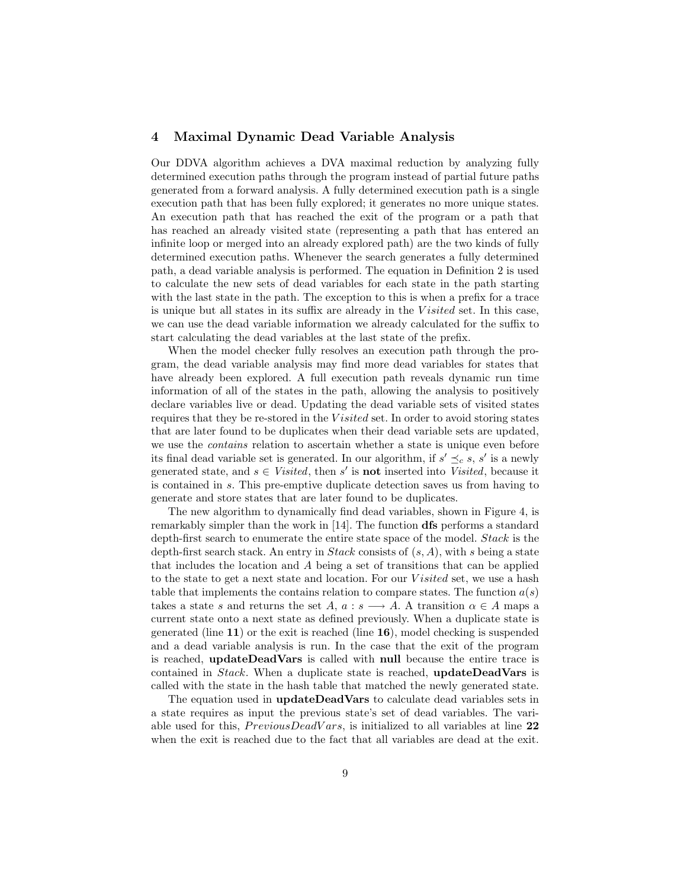#### 4 Maximal Dynamic Dead Variable Analysis

Our DDVA algorithm achieves a DVA maximal reduction by analyzing fully determined execution paths through the program instead of partial future paths generated from a forward analysis. A fully determined execution path is a single execution path that has been fully explored; it generates no more unique states. An execution path that has reached the exit of the program or a path that has reached an already visited state (representing a path that has entered an infinite loop or merged into an already explored path) are the two kinds of fully determined execution paths. Whenever the search generates a fully determined path, a dead variable analysis is performed. The equation in Definition 2 is used to calculate the new sets of dead variables for each state in the path starting with the last state in the path. The exception to this is when a prefix for a trace is unique but all states in its suffix are already in the Visited set. In this case, we can use the dead variable information we already calculated for the suffix to start calculating the dead variables at the last state of the prefix.

When the model checker fully resolves an execution path through the program, the dead variable analysis may find more dead variables for states that have already been explored. A full execution path reveals dynamic run time information of all of the states in the path, allowing the analysis to positively declare variables live or dead. Updating the dead variable sets of visited states requires that they be re-stored in the V isited set. In order to avoid storing states that are later found to be duplicates when their dead variable sets are updated, we use the contains relation to ascertain whether a state is unique even before its final dead variable set is generated. In our algorithm, if  $s' \preceq_c s$ , s' is a newly generated state, and  $s \in Visted$ , then s' is **not** inserted into Visited, because it is contained in s. This pre-emptive duplicate detection saves us from having to generate and store states that are later found to be duplicates.

The new algorithm to dynamically find dead variables, shown in Figure 4, is remarkably simpler than the work in [14]. The function dfs performs a standard depth-first search to enumerate the entire state space of the model. Stack is the depth-first search stack. An entry in *Stack* consists of  $(s, A)$ , with s being a state that includes the location and A being a set of transitions that can be applied to the state to get a next state and location. For our *V isited* set, we use a hash table that implements the contains relation to compare states. The function  $a(s)$ takes a state s and returns the set A,  $a : s \longrightarrow A$ . A transition  $\alpha \in A$  maps a current state onto a next state as defined previously. When a duplicate state is generated (line  $11$ ) or the exit is reached (line  $16$ ), model checking is suspended and a dead variable analysis is run. In the case that the exit of the program is reached, updateDeadVars is called with null because the entire trace is contained in Stack. When a duplicate state is reached, updateDeadVars is called with the state in the hash table that matched the newly generated state.

The equation used in updateDeadVars to calculate dead variables sets in a state requires as input the previous state's set of dead variables. The variable used for this,  $PreviousDeadVars$ , is initialized to all variables at line  $22$ when the exit is reached due to the fact that all variables are dead at the exit.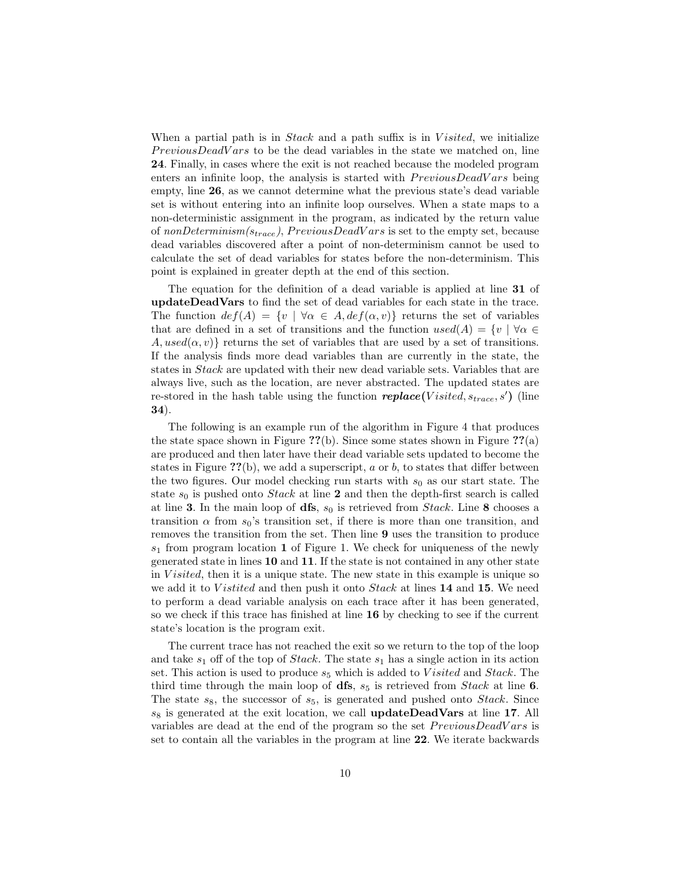When a partial path is in  $Stack$  and a path suffix is in  $Visted$ , we initialize  $Previous DeadVars$  to be the dead variables in the state we matched on, line 24. Finally, in cases where the exit is not reached because the modeled program enters an infinite loop, the analysis is started with  $PreviousDeadVars$  being empty, line 26, as we cannot determine what the previous state's dead variable set is without entering into an infinite loop ourselves. When a state maps to a non-deterministic assignment in the program, as indicated by the return value of nonDeterminism( $s_{trace}$ ), PreviousDeadVars is set to the empty set, because dead variables discovered after a point of non-determinism cannot be used to calculate the set of dead variables for states before the non-determinism. This point is explained in greater depth at the end of this section.

The equation for the definition of a dead variable is applied at line 31 of updateDeadVars to find the set of dead variables for each state in the trace. The function  $def(A) = \{v \mid \forall \alpha \in A, def(\alpha, v)\}\)$  returns the set of variables that are defined in a set of transitions and the function  $used(A) = \{v \mid \forall \alpha \in$ A, used( $\alpha, v$ ) returns the set of variables that are used by a set of transitions. If the analysis finds more dead variables than are currently in the state, the states in Stack are updated with their new dead variable sets. Variables that are always live, such as the location, are never abstracted. The updated states are re-stored in the hash table using the function  $replace(Visited, s_{trace}, s')$  (line 34).

The following is an example run of the algorithm in Figure 4 that produces the state space shown in Figure ??(b). Since some states shown in Figure ??(a) are produced and then later have their dead variable sets updated to become the states in Figure  $\mathcal{C}(b)$ , we add a superscript, a or b, to states that differ between the two figures. Our model checking run starts with  $s_0$  as our start state. The state  $s_0$  is pushed onto *Stack* at line 2 and then the depth-first search is called at line 3. In the main loop of dfs,  $s_0$  is retrieved from *Stack*. Line 8 chooses a transition  $\alpha$  from  $s_0$ 's transition set, if there is more than one transition, and removes the transition from the set. Then line 9 uses the transition to produce  $s_1$  from program location 1 of Figure 1. We check for uniqueness of the newly generated state in lines 10 and 11. If the state is not contained in any other state in V *isited*, then it is a unique state. The new state in this example is unique so we add it to *V istited* and then push it onto *Stack* at lines **14** and **15**. We need to perform a dead variable analysis on each trace after it has been generated, so we check if this trace has finished at line 16 by checking to see if the current state's location is the program exit.

The current trace has not reached the exit so we return to the top of the loop and take  $s_1$  off of the top of *Stack*. The state  $s_1$  has a single action in its action set. This action is used to produce  $s_5$  which is added to Visited and Stack. The third time through the main loop of  $dfs$ ,  $s<sub>5</sub>$  is retrieved from *Stack* at line 6. The state  $s_8$ , the successor of  $s_5$ , is generated and pushed onto Stack. Since  $s_8$  is generated at the exit location, we call **updateDeadVars** at line 17. All variables are dead at the end of the program so the set  $Previous DeadVars$  is set to contain all the variables in the program at line 22. We iterate backwards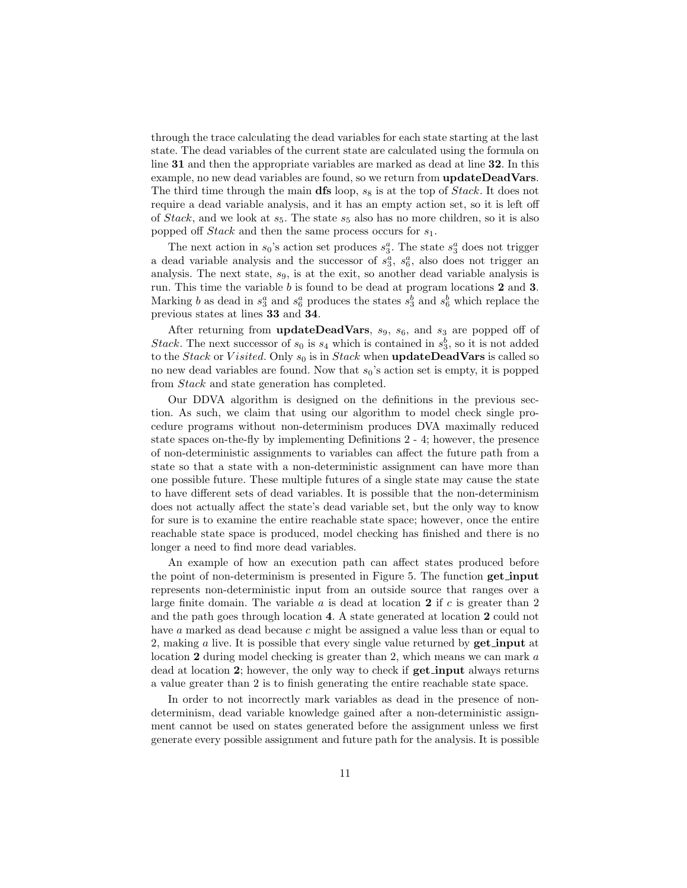through the trace calculating the dead variables for each state starting at the last state. The dead variables of the current state are calculated using the formula on line 31 and then the appropriate variables are marked as dead at line 32. In this example, no new dead variables are found, so we return from updateDeadVars. The third time through the main dfs loop,  $s_8$  is at the top of *Stack*. It does not require a dead variable analysis, and it has an empty action set, so it is left off of Stack, and we look at  $s_5$ . The state  $s_5$  also has no more children, so it is also popped off  $Stack$  and then the same process occurs for  $s_1$ .

The next action in  $s_0$ 's action set produces  $s_3^a$ . The state  $s_3^a$  does not trigger a dead variable analysis and the successor of  $s_3^a$ ,  $s_6^a$ , also does not trigger an analysis. The next state, s9, is at the exit, so another dead variable analysis is run. This time the variable  $b$  is found to be dead at program locations  $2$  and  $3$ . Marking b as dead in  $s_3^a$  and  $s_6^a$  produces the states  $s_3^b$  and  $s_6^b$  which replace the previous states at lines 33 and 34.

After returning from **updateDeadVars**,  $s_9$ ,  $s_6$ , and  $s_3$  are popped off of *Stack*. The next successor of  $s_0$  is  $s_4$  which is contained in  $s_3^b$ , so it is not added to the Stack or V isited. Only  $s_0$  is in Stack when **updateDeadVars** is called so no new dead variables are found. Now that  $s_0$ 's action set is empty, it is popped from Stack and state generation has completed.

Our DDVA algorithm is designed on the definitions in the previous section. As such, we claim that using our algorithm to model check single procedure programs without non-determinism produces DVA maximally reduced state spaces on-the-fly by implementing Definitions 2 - 4; however, the presence of non-deterministic assignments to variables can affect the future path from a state so that a state with a non-deterministic assignment can have more than one possible future. These multiple futures of a single state may cause the state to have different sets of dead variables. It is possible that the non-determinism does not actually affect the state's dead variable set, but the only way to know for sure is to examine the entire reachable state space; however, once the entire reachable state space is produced, model checking has finished and there is no longer a need to find more dead variables.

An example of how an execution path can affect states produced before the point of non-determinism is presented in Figure 5. The function **get** input represents non-deterministic input from an outside source that ranges over a large finite domain. The variable  $a$  is dead at location 2 if  $c$  is greater than 2 and the path goes through location 4. A state generated at location 2 could not have a marked as dead because c might be assigned a value less than or equal to 2, making  $\alpha$  live. It is possible that every single value returned by  $get\text{-input}$  at location 2 during model checking is greater than 2, which means we can mark a dead at location 2; however, the only way to check if  $get$  input always returns a value greater than 2 is to finish generating the entire reachable state space.

In order to not incorrectly mark variables as dead in the presence of nondeterminism, dead variable knowledge gained after a non-deterministic assignment cannot be used on states generated before the assignment unless we first generate every possible assignment and future path for the analysis. It is possible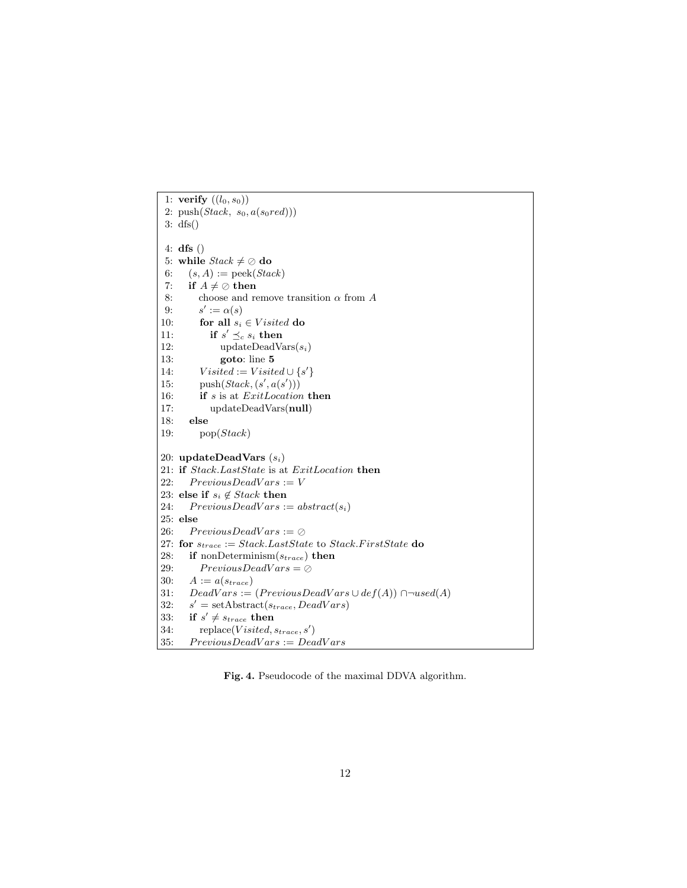```
1: verify ((l_0, s_0))2: push(Stack, s_0, a(s_0red))3: dfs()
 4: dfs ()
 5: while Stack \neq \emptyset do
 6: (s, A) := \text{peek}(Stack)7: if A \neq \emptyset then
 8: choose and remove transition \alpha from A9:\prime := \alpha(s)10: for all s_i \in V_{\text{isited}} do
11: if s' \preceq_c s_i then
12: updateDeadVars(s_i)13: goto: line 5
14: Visited := Visited \cup \{s'\}15: push(Stack, (s', a(s')))16: if s is at ExitLocation then
17: updateDeadVars(null)
18: else<br>19: pepop(Stack)20: updateDeadVars (s_i)21: if Stack.LastState is at ExitLocation then
22: PreviousDeadVars := V23: else if s_i \notin Stack then
24: PreviousDeadVars := abstract(s_i)25: else
26: PreviousDeadVars := \oslash27: for s_{trace} := Stack.LastState to Stack.FirstState do
28: if nonDeterminism(s_{trace}) then
29: PreviousDeadVars = \oslash30: A := a(s_{trace})31: DeadVars := (PreviousDeadVars \cup def(A)) \cap \neg used(A)32:s' = setAbstract(s_{trace}, DeadVars)33: if s' \neq s_{trace} then
34: replace(Visited, s_{trace}, s')
35: PreviousDeadVars := DeadVars
```
Fig. 4. Pseudocode of the maximal DDVA algorithm.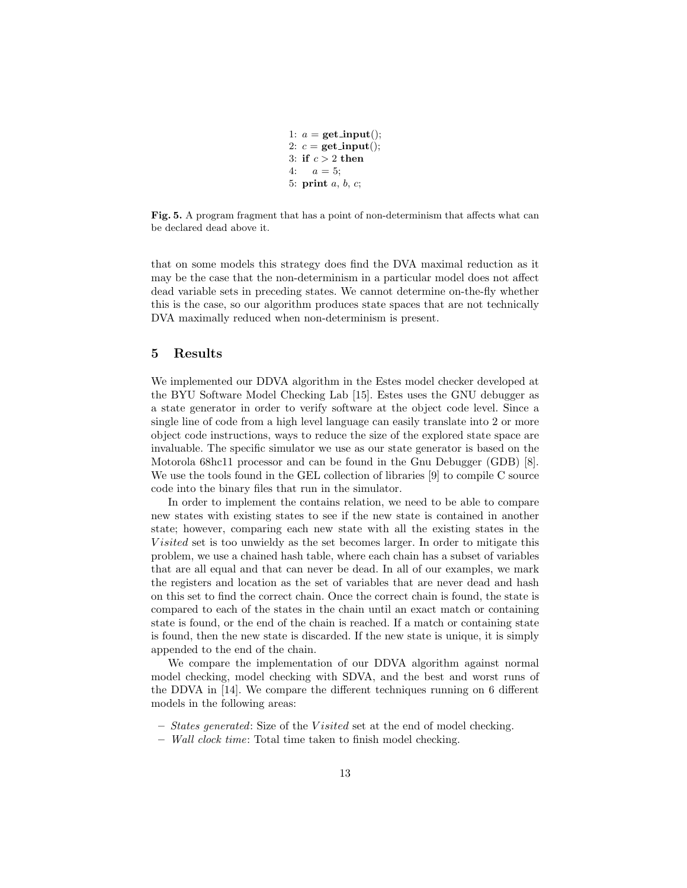1:  $a = get\_input();$ 2:  $c = get\_input();$ 3: if  $c > 2$  then 4:  $a = 5$ ; 5: print  $a, b, c;$ 

Fig. 5. A program fragment that has a point of non-determinism that affects what can be declared dead above it.

that on some models this strategy does find the DVA maximal reduction as it may be the case that the non-determinism in a particular model does not affect dead variable sets in preceding states. We cannot determine on-the-fly whether this is the case, so our algorithm produces state spaces that are not technically DVA maximally reduced when non-determinism is present.

### 5 Results

We implemented our DDVA algorithm in the Estes model checker developed at the BYU Software Model Checking Lab [15]. Estes uses the GNU debugger as a state generator in order to verify software at the object code level. Since a single line of code from a high level language can easily translate into 2 or more object code instructions, ways to reduce the size of the explored state space are invaluable. The specific simulator we use as our state generator is based on the Motorola 68hc11 processor and can be found in the Gnu Debugger (GDB) [8]. We use the tools found in the GEL collection of libraries [9] to compile C source code into the binary files that run in the simulator.

In order to implement the contains relation, we need to be able to compare new states with existing states to see if the new state is contained in another state; however, comparing each new state with all the existing states in the Visited set is too unwieldy as the set becomes larger. In order to mitigate this problem, we use a chained hash table, where each chain has a subset of variables that are all equal and that can never be dead. In all of our examples, we mark the registers and location as the set of variables that are never dead and hash on this set to find the correct chain. Once the correct chain is found, the state is compared to each of the states in the chain until an exact match or containing state is found, or the end of the chain is reached. If a match or containing state is found, then the new state is discarded. If the new state is unique, it is simply appended to the end of the chain.

We compare the implementation of our DDVA algorithm against normal model checking, model checking with SDVA, and the best and worst runs of the DDVA in [14]. We compare the different techniques running on 6 different models in the following areas:

– Wall clock time: Total time taken to finish model checking.

 $-$  States generated: Size of the V isited set at the end of model checking.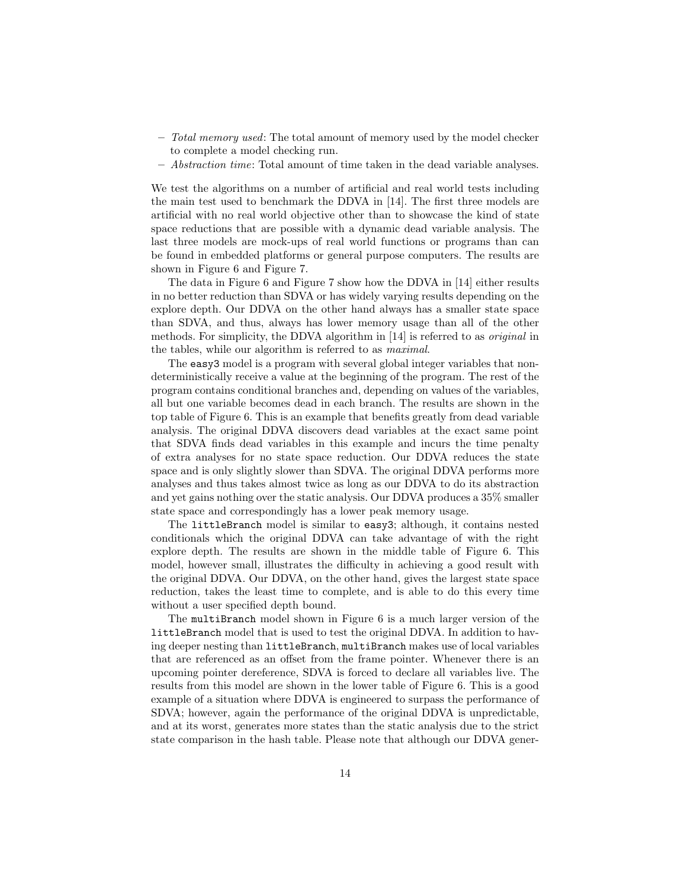- Total memory used: The total amount of memory used by the model checker to complete a model checking run.
- Abstraction time: Total amount of time taken in the dead variable analyses.

We test the algorithms on a number of artificial and real world tests including the main test used to benchmark the DDVA in [14]. The first three models are artificial with no real world objective other than to showcase the kind of state space reductions that are possible with a dynamic dead variable analysis. The last three models are mock-ups of real world functions or programs than can be found in embedded platforms or general purpose computers. The results are shown in Figure 6 and Figure 7.

The data in Figure 6 and Figure 7 show how the DDVA in [14] either results in no better reduction than SDVA or has widely varying results depending on the explore depth. Our DDVA on the other hand always has a smaller state space than SDVA, and thus, always has lower memory usage than all of the other methods. For simplicity, the DDVA algorithm in [14] is referred to as original in the tables, while our algorithm is referred to as maximal.

The easy3 model is a program with several global integer variables that nondeterministically receive a value at the beginning of the program. The rest of the program contains conditional branches and, depending on values of the variables, all but one variable becomes dead in each branch. The results are shown in the top table of Figure 6. This is an example that benefits greatly from dead variable analysis. The original DDVA discovers dead variables at the exact same point that SDVA finds dead variables in this example and incurs the time penalty of extra analyses for no state space reduction. Our DDVA reduces the state space and is only slightly slower than SDVA. The original DDVA performs more analyses and thus takes almost twice as long as our DDVA to do its abstraction and yet gains nothing over the static analysis. Our DDVA produces a 35% smaller state space and correspondingly has a lower peak memory usage.

The littleBranch model is similar to easy3; although, it contains nested conditionals which the original DDVA can take advantage of with the right explore depth. The results are shown in the middle table of Figure 6. This model, however small, illustrates the difficulty in achieving a good result with the original DDVA. Our DDVA, on the other hand, gives the largest state space reduction, takes the least time to complete, and is able to do this every time without a user specified depth bound.

The multiBranch model shown in Figure 6 is a much larger version of the littleBranch model that is used to test the original DDVA. In addition to having deeper nesting than littleBranch, multiBranch makes use of local variables that are referenced as an offset from the frame pointer. Whenever there is an upcoming pointer dereference, SDVA is forced to declare all variables live. The results from this model are shown in the lower table of Figure 6. This is a good example of a situation where DDVA is engineered to surpass the performance of SDVA; however, again the performance of the original DDVA is unpredictable, and at its worst, generates more states than the static analysis due to the strict state comparison in the hash table. Please note that although our DDVA gener-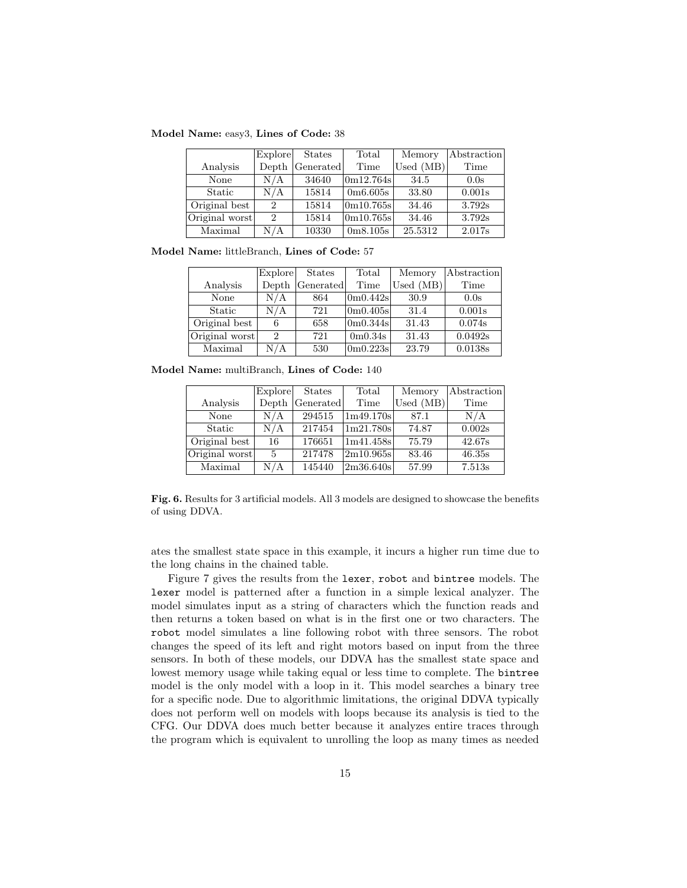Model Name: easy3, Lines of Code: 38

|                | Explore                     | <b>States</b> | Total                | Memory      | Abstraction |
|----------------|-----------------------------|---------------|----------------------|-------------|-------------|
| Analysis       | Depth                       | Generated     | Time                 | Used $(MB)$ | Time        |
| None           | N/A                         | 34640         | 0m12.764s            | 34.5        | 0.0s        |
| Static         | N/A                         | 15814         | 0m6.605s             | 33.80       | 0.001s      |
| Original best  | $\overline{2}$              | 15814         | 0m10.765s            | 34.46       | 3.792s      |
| Original worst | $\mathcal{D}_{\mathcal{L}}$ | 15814         | 0m10.765s            | 34.46       | 3.792s      |
| Maximal        | N/A                         | 10330         | 0 <sub>m8.105s</sub> | 25.5312     | 2.017s      |

Model Name: littleBranch, Lines of Code: 57

|                | Explore        | <b>States</b>   | Total                                   | Memory      | Abstraction |
|----------------|----------------|-----------------|-----------------------------------------|-------------|-------------|
| Analysis       |                | Depth Generated | Time                                    | Used $(MB)$ | Time        |
| None           | N/A            | 864             | 0m0.442s                                | 30.9        | 0.0s        |
| Static         | N/A            | 721             | 0m0.405s                                | 31.4        | 0.001s      |
| Original best  | 6              | 658             | 0m0.344s                                | 31.43       | 0.074s      |
| Original worst | $\overline{2}$ | 721             | 0 <sub>m</sub> 0.34 <sub>s</sub>        | 31.43       | 0.0492s     |
| Maximal        | N/A            | 530             | $\vert 0 \text{m} 0.223 \text{s} \vert$ | 23.79       | 0.0138s     |

Model Name: multiBranch, Lines of Code: 140

|                | Explore | <b>States</b>   | Total                                        | Memory      | <i>Abstraction</i> |
|----------------|---------|-----------------|----------------------------------------------|-------------|--------------------|
| Analysis       |         | Depth Generated | Time                                         | Used $(MB)$ | Time               |
| None           | N/A     | 294515          | $\lfloor 1m49.170s \rfloor$                  | 87.1        | N/A                |
| Static         | N/A     | 217454          | $\vert 1 \text{m} 2 1.780 \text{s} \vert$    | 74.87       | 0.002s             |
| Original best  | 16      | 176651          | $\lfloor 1 \text{m} 41.458 \text{s} \rfloor$ | 75.79       | 42.67s             |
| Original worst | 5       | 217478          | 2m10.965s                                    | 83.46       | 46.35s             |
| Maximal        | N/A     | 145440          | 2m36.640s                                    | 57.99       | 7.513s             |

Fig. 6. Results for 3 artificial models. All 3 models are designed to showcase the benefits of using DDVA.

ates the smallest state space in this example, it incurs a higher run time due to the long chains in the chained table.

Figure 7 gives the results from the lexer, robot and bintree models. The lexer model is patterned after a function in a simple lexical analyzer. The model simulates input as a string of characters which the function reads and then returns a token based on what is in the first one or two characters. The robot model simulates a line following robot with three sensors. The robot changes the speed of its left and right motors based on input from the three sensors. In both of these models, our DDVA has the smallest state space and lowest memory usage while taking equal or less time to complete. The bintree model is the only model with a loop in it. This model searches a binary tree for a specific node. Due to algorithmic limitations, the original DDVA typically does not perform well on models with loops because its analysis is tied to the CFG. Our DDVA does much better because it analyzes entire traces through the program which is equivalent to unrolling the loop as many times as needed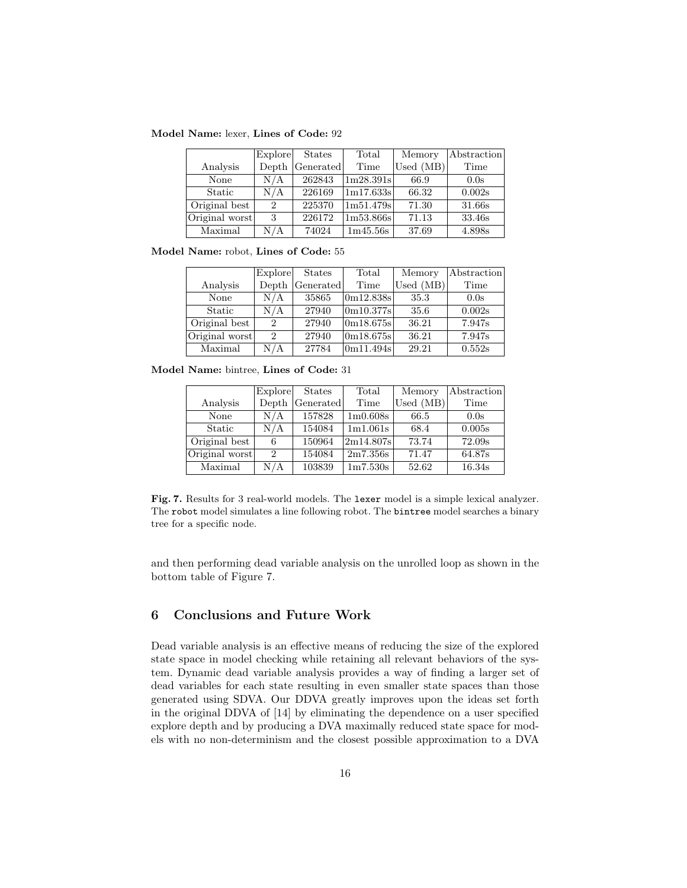Model Name: lexer, Lines of Code: 92

|                | Explore        | <b>States</b> | Total     | Memory      | Abstraction |
|----------------|----------------|---------------|-----------|-------------|-------------|
| Analysis       | Depth          | Generated     | Time      | Used $(MB)$ | Time        |
| None           | N/A            | 262843        | 1m28.391s | 66.9        | 0.0s        |
| Static         | N/A            | 226169        | 1m17.633s | 66.32       | 0.002s      |
| Original best  | $\overline{2}$ | 225370        | 1m51.479s | 71.30       | 31.66s      |
| Original worst | 3              | 226172        | 1m53.866s | 71.13       | 33.46s      |
| Maximal        | N/A            | 74024         | 1m45.56s  | 37.69       | 4.898s      |

Model Name: robot, Lines of Code: 55

|                | Explore        | <b>States</b>   | Total              | Memory      | Abstraction |
|----------------|----------------|-----------------|--------------------|-------------|-------------|
| Analysis       |                | Depth Generated | Time               | Used $(MB)$ | Time        |
| None           | N/A            | 35865           | 0m12.838s          | 35.3        | 0.0s        |
| Static         | N/A            | 27940           | 0m10.377s          | 35.6        | 0.002s      |
| Original best  | $\overline{2}$ | 27940           | $\sqrt{0m18.675s}$ | 36.21       | 7.947s      |
| Original worst | 2              | 27940           | 0m18.675s          | 36.21       | 7.947s      |
| Maximal        | N/A            | 27784           | 0m11.494s          | 29.21       | 0.552s      |

Model Name: bintree, Lines of Code: 31

|                | Explore        | <b>States</b>   | Total                       | Memory      | Abstraction |
|----------------|----------------|-----------------|-----------------------------|-------------|-------------|
| Analysis       |                | Depth Generated | Time                        | Used $(MB)$ | Time        |
| None           | N/A            | 157828          | $1 \text{m} 0.608 \text{s}$ | 66.5        | 0.0s        |
| Static         | N/A            | 154084          | 1m1.061s                    | 68.4        | 0.005s      |
| Original best  | 6              | 150964          | 2m14.807s                   | 73.74       | 72.09s      |
| Original worst | $\overline{2}$ | 154084          | 2m7.356s                    | 71.47       | 64.87s      |
| Maximal        | N/A            | 103839          | 1m7.530s                    | 52.62       | 16.34s      |

Fig. 7. Results for 3 real-world models. The lexer model is a simple lexical analyzer. The robot model simulates a line following robot. The bintree model searches a binary tree for a specific node.

and then performing dead variable analysis on the unrolled loop as shown in the bottom table of Figure 7.

## 6 Conclusions and Future Work

Dead variable analysis is an effective means of reducing the size of the explored state space in model checking while retaining all relevant behaviors of the system. Dynamic dead variable analysis provides a way of finding a larger set of dead variables for each state resulting in even smaller state spaces than those generated using SDVA. Our DDVA greatly improves upon the ideas set forth in the original DDVA of [14] by eliminating the dependence on a user specified explore depth and by producing a DVA maximally reduced state space for models with no non-determinism and the closest possible approximation to a DVA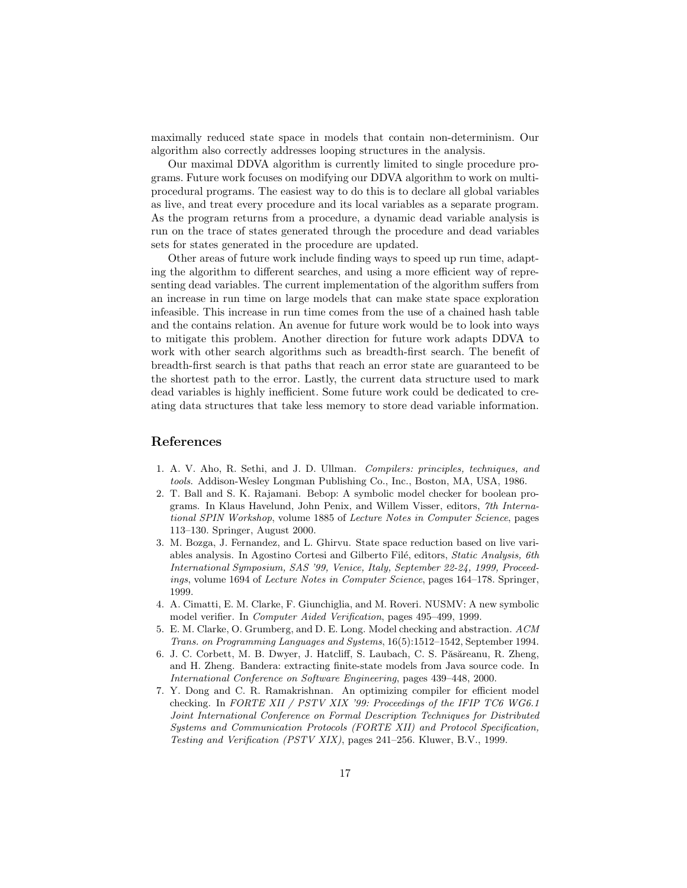maximally reduced state space in models that contain non-determinism. Our algorithm also correctly addresses looping structures in the analysis.

Our maximal DDVA algorithm is currently limited to single procedure programs. Future work focuses on modifying our DDVA algorithm to work on multiprocedural programs. The easiest way to do this is to declare all global variables as live, and treat every procedure and its local variables as a separate program. As the program returns from a procedure, a dynamic dead variable analysis is run on the trace of states generated through the procedure and dead variables sets for states generated in the procedure are updated.

Other areas of future work include finding ways to speed up run time, adapting the algorithm to different searches, and using a more efficient way of representing dead variables. The current implementation of the algorithm suffers from an increase in run time on large models that can make state space exploration infeasible. This increase in run time comes from the use of a chained hash table and the contains relation. An avenue for future work would be to look into ways to mitigate this problem. Another direction for future work adapts DDVA to work with other search algorithms such as breadth-first search. The benefit of breadth-first search is that paths that reach an error state are guaranteed to be the shortest path to the error. Lastly, the current data structure used to mark dead variables is highly inefficient. Some future work could be dedicated to creating data structures that take less memory to store dead variable information.

# References

- 1. A. V. Aho, R. Sethi, and J. D. Ullman. Compilers: principles, techniques, and tools. Addison-Wesley Longman Publishing Co., Inc., Boston, MA, USA, 1986.
- 2. T. Ball and S. K. Rajamani. Bebop: A symbolic model checker for boolean programs. In Klaus Havelund, John Penix, and Willem Visser, editors, 7th International SPIN Workshop, volume 1885 of Lecture Notes in Computer Science, pages 113–130. Springer, August 2000.
- 3. M. Bozga, J. Fernandez, and L. Ghirvu. State space reduction based on live variables analysis. In Agostino Cortesi and Gilberto Filé, editors, Static Analysis, 6th International Symposium, SAS '99, Venice, Italy, September 22-24, 1999, Proceedings, volume 1694 of Lecture Notes in Computer Science, pages 164–178. Springer, 1999.
- 4. A. Cimatti, E. M. Clarke, F. Giunchiglia, and M. Roveri. NUSMV: A new symbolic model verifier. In Computer Aided Verification, pages 495–499, 1999.
- 5. E. M. Clarke, O. Grumberg, and D. E. Long. Model checking and abstraction. ACM Trans. on Programming Languages and Systems, 16(5):1512–1542, September 1994.
- 6. J. C. Corbett, M. B. Dwyer, J. Hatcliff, S. Laubach, C. S. Păsăreanu, R. Zheng, and H. Zheng. Bandera: extracting finite-state models from Java source code. In International Conference on Software Engineering, pages 439–448, 2000.
- 7. Y. Dong and C. R. Ramakrishnan. An optimizing compiler for efficient model checking. In FORTE XII / PSTV XIX '99: Proceedings of the IFIP TC6 WG6.1 Joint International Conference on Formal Description Techniques for Distributed Systems and Communication Protocols (FORTE XII) and Protocol Specification, Testing and Verification (PSTV XIX), pages 241–256. Kluwer, B.V., 1999.